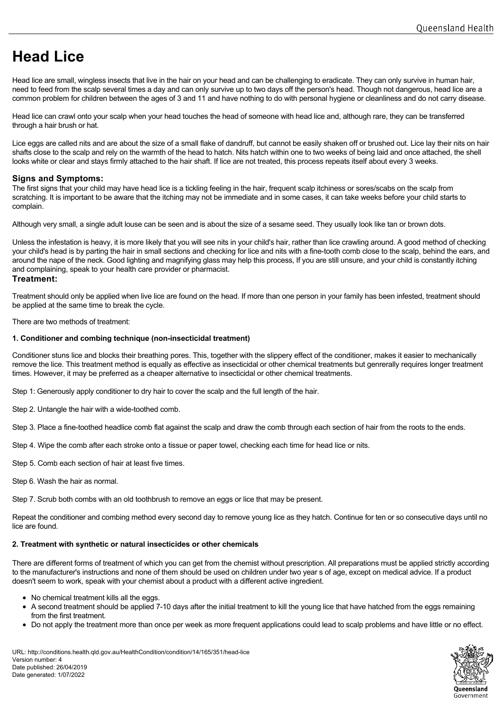# **Head Lice**

Head lice are small, wingless insects that live in the hair on your head and can be challenging to eradicate. They can only survive in human hair, need to feed from the scalp several times a day and can only survive up to two days off the person's head. Though not dangerous, head lice are a common problem for children between the ages of 3 and 11 and have nothing to do with personal hygiene or cleanliness and do not carry disease.

Head lice can crawl onto your scalp when your head touches the head of someone with head lice and, although rare, they can be transferred through a hair brush or hat.

Lice eggs are called nits and are about the size of a small flake of dandruff, but cannot be easily shaken off or brushed out. Lice lay their nits on hair shafts close to the scalp and rely on the warmth of the head to hatch. Nits hatch within one to two weeks of being laid and once attached, the shell looks white or clear and stays firmly attached to the hair shaft. If lice are not treated, this process repeats itself about every 3 weeks.

# **Signs and Symptoms:**

The first signs that your child may have head lice is a tickling feeling in the hair, frequent scalp itchiness or sores/scabs on the scalp from scratching. It is important to be aware that the itching may not be immediate and in some cases, it can take weeks before your child starts to complain.

Although very small, a single adult louse can be seen and is about the size of a sesame seed. They usually look like tan or brown dots.

Unless the infestation is heavy, it is more likely that you will see nits in your child's hair, rather than lice crawling around. A good method of checking your child's head is by parting the hair in small sections and checking for lice and nits with a fine-tooth comb close to the scalp, behind the ears, and around the nape of the neck. Good lighting and magnifying glass may help this process, If you are still unsure, and your child is constantly itching and complaining, speak to your health care provider or pharmacist.

## **Treatment:**

Treatment should only be applied when live lice are found on the head. If more than one person in your family has been infested, treatment should be applied at the same time to break the cycle.

There are two methods of treatment:

## **1. Conditioner and combing technique (non-insecticidal treatment)**

Conditioner stuns lice and blocks their breathing pores. This, together with the slippery effect of the conditioner, makes it easier to mechanically remove the lice. This treatment method is equally as effective as insecticidal or other chemical treatments but genrerally requires longer treatment times. However, it may be preferred as a cheaper alternative to insecticidal or other chemical treatments.

Step 1: Generously apply conditioner to dry hair to cover the scalp and the full length of the hair.

Step 2. Untangle the hair with a wide-toothed comb.

Step 3. Place a fine-toothed headlice comb flat against the scalp and draw the comb through each section of hair from the roots to the ends.

Step 4. Wipe the comb after each stroke onto a tissue or paper towel, checking each time for head lice or nits.

Step 5. Comb each section of hair at least five times.

Step 6. Wash the hair as normal.

Step 7. Scrub both combs with an old toothbrush to remove an eggs or lice that may be present.

Repeat the conditioner and combing method every second day to remove young lice as they hatch. Continue for ten or so consecutive days until no lice are found.

## **2. Treatment with synthetic or natural insecticides or other chemicals**

There are different forms of treatment of which you can get from the chemist without prescription. All preparations must be applied strictly according to the manufacturer's instructions and none of them should be used on children under two year s of age, except on medical advice. If a product doesn't seem to work, speak with your chemist about a product with a different active ingredient.

- No chemical treatment kills all the eggs.
- A second treatment should be applied 7-10 days after the initial treatment to kill the young lice that have hatched from the eggs remaining from the first treatment.
- Do not apply the treatment more than once per week as more frequent applications could lead to scalp problems and have little or no effect.